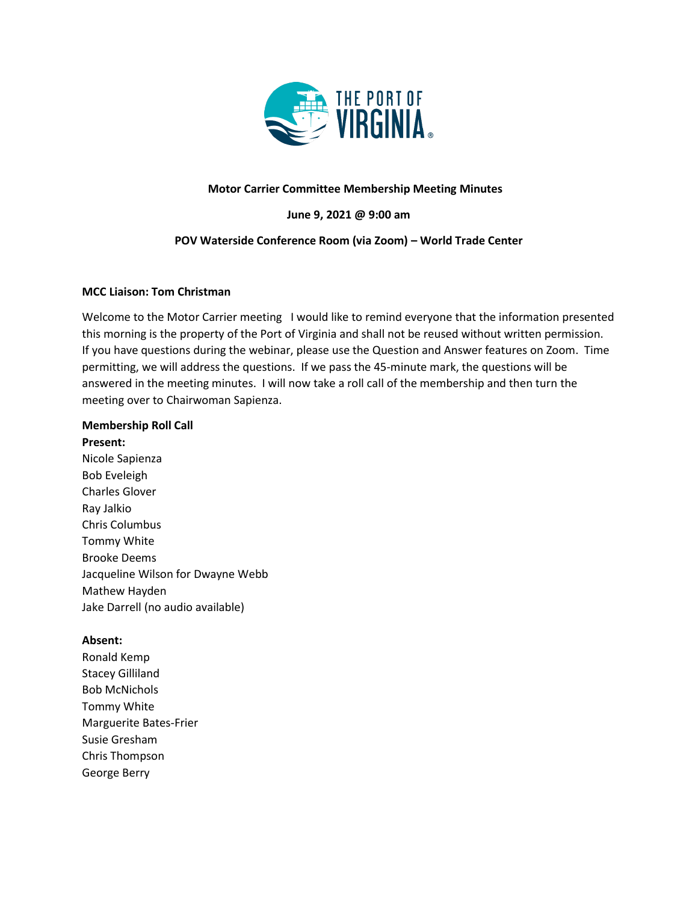

## **Motor Carrier Committee Membership Meeting Minutes**

**June 9, 2021 @ 9:00 am**

## **POV Waterside Conference Room (via Zoom) – World Trade Center**

### **MCC Liaison: Tom Christman**

Welcome to the Motor Carrier meeting I would like to remind everyone that the information presented this morning is the property of the Port of Virginia and shall not be reused without written permission. If you have questions during the webinar, please use the Question and Answer features on Zoom. Time permitting, we will address the questions. If we pass the 45-minute mark, the questions will be answered in the meeting minutes. I will now take a roll call of the membership and then turn the meeting over to Chairwoman Sapienza.

#### **Membership Roll Call**

**Present:** Nicole Sapienza Bob Eveleigh Charles Glover Ray Jalkio Chris Columbus Tommy White Brooke Deems Jacqueline Wilson for Dwayne Webb Mathew Hayden Jake Darrell (no audio available)

#### **Absent:**

Ronald Kemp Stacey Gilliland Bob McNichols Tommy White Marguerite Bates-Frier Susie Gresham Chris Thompson George Berry